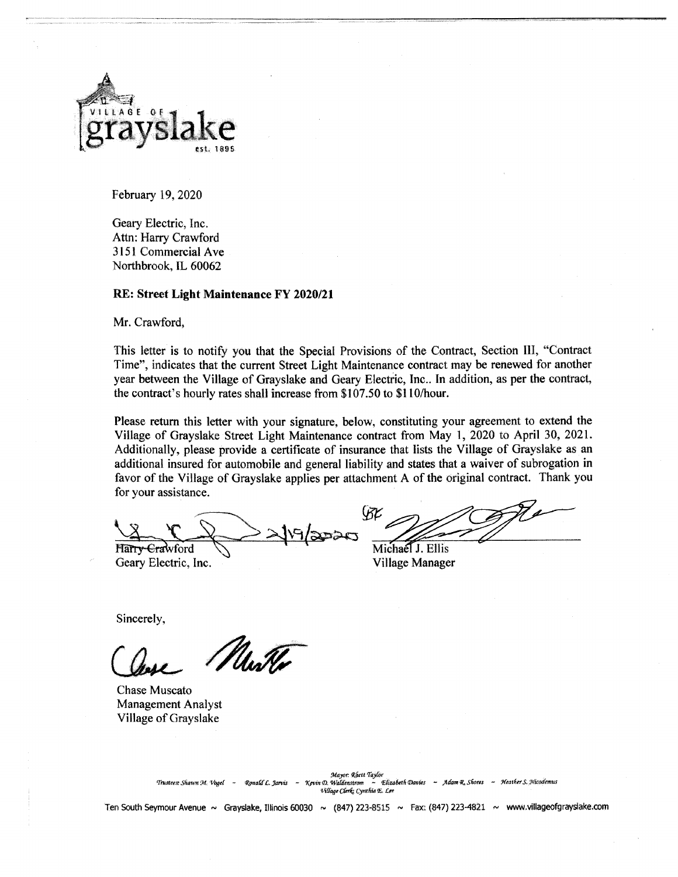

February 19, 2020

Geary Electric, Inc. Attn: Harry Crawford 3151 Commercial Ave Northbrook, IL 60062

## RE: Street Light Maintenance FY 2020/21

Mr. Crawford,

This letter is to notify you that the Special Provisions of the Contract, Section III, "Contract" Time", indicates that the current Street Light Maintenance contract may be renewed for another year between the Village of Grayslake and Geary Electric, Inc.. In addition, as per the contract, the contract's hourly rates shall increase from \$107.50 to \$110/hour.

Please return this letter with your signature, below, constituting your agreement to extend the Village of Grayslake Street Light Maintenance contract from May 1, 2020 to April 30, 2021. Additionally, please provide a certificate of insurance that lists the Village of Grayslake as an additional insured for automobile and general liability and states that a waiver of subrogation in favor of the Village of Grayslake applies per attachment A of the original contract. Thank you for your assistance.

Harry-Crawford Geary Electric, Inc.

Michael J. Ellis

**Village Manager** 

Sincerely,

Mwk

**Chase Muscato Management Analyst** Village of Grayslake

- Heather S. Nicodemus Trustees: Shawn M. Vooel Ronald L. Jarvis ~ Kevin D. Waldenstrom Village Clerk: Cynthia E. Lee

Ten South Seymour Avenue ~ Grayslake, Illinois 60030 ~ (847) 223-8515 ~ Fax: (847) 223-4821 ~ www.villageofgrayslake.com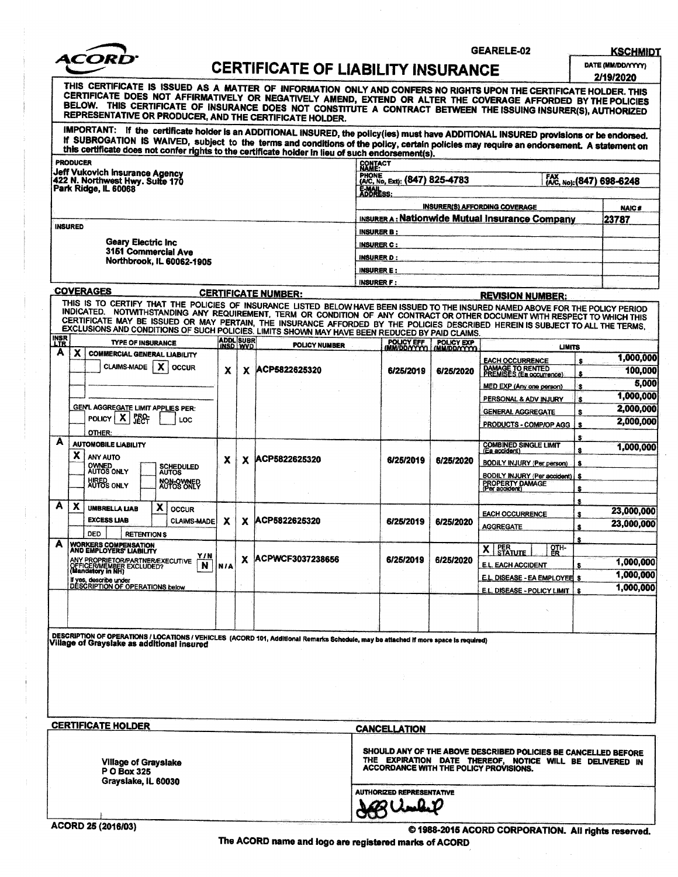

**GEARELE-02** 

**KSCHMIDT** 

DATE (MM/DD/YYYY) 2/19/2020

| CERTIFICATE OF LIABILITY INSURANCE |  |
|------------------------------------|--|
|                                    |  |
|                                    |  |

THIS CERTIFICATE IS ISSUED AS A MATTER OF INFORMATION ONLY AND CONFERS NO RIGHTS UPON THE CERTIFICATE HOLDER. THIS<br>CERTIFICATE DOES NOT AFFIRMATIVELY OR NEGATIVELY AMEND, EXTEND OR ALTER THE COVERAGE AFFORDED BY THE POLICI BELOW. THIS CERTIFICATE OF INSURANCE DOES NOT CONSTITUTE A CONTRACT BETWEEN THE ISSUING INSURER(S), AUTHORIZED REPRESENTATIVE OR PRODUCER, AND THE CERTIFICATE HOLDER. IMPORTANT: If the certificate holder is an ADDITIONAL INSURED, the policy(ies) must have ADDITIONAL INSURED provisions or be endorsed.<br>If SUBROGATION IS WAIVED, subject to the terms and conditions of the policy, certain po

| <b>PRODUCER</b>                                                          | this certificate does not confer rights to the certificate holder in lieu of such endorsement(s).<br>CONTACT<br>NAME: |                                  |  |
|--------------------------------------------------------------------------|-----------------------------------------------------------------------------------------------------------------------|----------------------------------|--|
| <b>Jeff Vukovich Insurance Agency</b><br>422 N. Northwest Hwy. Suite 170 | <b>PHONE</b><br>(A/C, No, Ext): (847) 825-4783                                                                        | FAX<br>(A/C, No): (847) 698-6248 |  |
| Park Ridge, IL 60068                                                     | <b>E-MAL</b><br>ADDRESS:                                                                                              |                                  |  |
|                                                                          | <b>INSURER(S) AFFORDING COVERAGE</b>                                                                                  | <b>NAIC#</b>                     |  |
|                                                                          | INSURER A: Nationwide Mutual Insurance Company                                                                        | 23787                            |  |
| <b>INSURED</b>                                                           | <b>INSURER B:</b>                                                                                                     |                                  |  |
| Geary Electric Inc                                                       | <b>INSURER C:</b>                                                                                                     |                                  |  |
| 3151 Commercial Ave<br>Northbrook, IL 60062-1905                         | <b>INSURER D:</b>                                                                                                     |                                  |  |
|                                                                          | <b>INSURERE:</b>                                                                                                      |                                  |  |
|                                                                          |                                                                                                                       |                                  |  |

|                           | <b>INSURER F:</b>                                                                                                                                                                                                                                                                                                                                                                                                                                                                                  |                                                                                        |                              |   |                            |                   |                                           |                                                            |           |            |                        |   |            |
|---------------------------|----------------------------------------------------------------------------------------------------------------------------------------------------------------------------------------------------------------------------------------------------------------------------------------------------------------------------------------------------------------------------------------------------------------------------------------------------------------------------------------------------|----------------------------------------------------------------------------------------|------------------------------|---|----------------------------|-------------------|-------------------------------------------|------------------------------------------------------------|-----------|------------|------------------------|---|------------|
|                           |                                                                                                                                                                                                                                                                                                                                                                                                                                                                                                    | <b>COVERAGES</b>                                                                       |                              |   | <b>CERTIFICATE NUMBER:</b> |                   |                                           | <b>REVISION NUMBER:</b>                                    |           |            |                        |   |            |
|                           | THIS IS TO CERTIFY THAT THE POLICIES OF INSURANCE LISTED BELOW HAVE BEEN ISSUED TO THE INSURED NAMED ABOVE FOR THE POLICY PERIOD<br>INDICATED. NOTWITHSTANDING ANY REQUIREMENT, TERM OR CONDITION OF ANY CONTRACT OR OTHER DOCUMENT WITH RESPECT TO WHICH THIS<br>CERTIFICATE MAY BE ISSUED OR MAY PERTAIN, THE INSURANCE AFFORDED BY THE POLICIES DESCRIBED HEREIN IS SUBJECT TO ALL THE TERMS,<br>EXCLUSIONS AND CONDITIONS OF SUCH POLICIES. LIMITS SHOWN MAY HAVE BEEN REDUCED BY PAID CLAIMS. |                                                                                        |                              |   |                            |                   |                                           |                                                            |           |            |                        |   |            |
| <b>INSR</b><br><b>LTR</b> |                                                                                                                                                                                                                                                                                                                                                                                                                                                                                                    | <b>TYPE OF INSURANCE</b>                                                               | <b>ADDL SUBR</b><br>INSD WVD |   | <b>POLICY NUMBER</b>       | <b>POLICY EFF</b> | POLICY EXP<br>(MM/DD/YYYY)   (MM/DD/YYYY) | <b>LIMITS</b>                                              |           |            |                        |   |            |
| A                         | x                                                                                                                                                                                                                                                                                                                                                                                                                                                                                                  | <b>COMMERCIAL GENERAL LIABILITY</b>                                                    |                              |   |                            |                   |                                           | <b>EACH OCCURRENCE</b>                                     | ŝ         | 1,000,000  |                        |   |            |
|                           |                                                                                                                                                                                                                                                                                                                                                                                                                                                                                                    | x<br><b>CLAIMS-MADE</b><br><b>OCCUR</b>                                                | x                            | x | ACP5822625320              | 6/25/2019         | 6/25/2020                                 | <b>DAMAGE TO RENTED</b><br><b>PREMISES (Ea occurrence)</b> | 8         | 100,000    |                        |   |            |
|                           |                                                                                                                                                                                                                                                                                                                                                                                                                                                                                                    |                                                                                        |                              |   |                            |                   |                                           | MED EXP (Any one person)                                   | s         | 5,000      |                        |   |            |
|                           |                                                                                                                                                                                                                                                                                                                                                                                                                                                                                                    |                                                                                        |                              |   |                            |                   |                                           | PERSONAL & ADV INJURY                                      | s.        | 1,000,000  |                        |   |            |
|                           |                                                                                                                                                                                                                                                                                                                                                                                                                                                                                                    | <b>GEN'L AGGREGATE LIMIT APPLIES PER:</b>                                              |                              |   |                            |                   |                                           | <b>GENERAL AGGREGATE</b>                                   | s         | 2,000,000  |                        |   |            |
|                           |                                                                                                                                                                                                                                                                                                                                                                                                                                                                                                    | X<br><b>FECT</b><br><b>POLICY</b> I<br>LOC                                             |                              |   |                            |                   |                                           | <b>PRODUCTS - COMP/OP AGG</b>                              | $\bullet$ | 2,000,000  |                        |   |            |
| A                         |                                                                                                                                                                                                                                                                                                                                                                                                                                                                                                    | OTHER:                                                                                 |                              |   |                            |                   |                                           |                                                            |           |            |                        |   |            |
|                           | x                                                                                                                                                                                                                                                                                                                                                                                                                                                                                                  | <b>AUTOMOBILE LIABILITY</b>                                                            |                              |   |                            |                   |                                           | <b>COMBINED SINGLE LIMIT</b><br>(Ea accident)              |           | 1,000,000  |                        |   |            |
|                           |                                                                                                                                                                                                                                                                                                                                                                                                                                                                                                    | ANY AUTO<br>OWNED<br>AUTOS ONLY<br><b>SCHEDULED</b>                                    | x                            | x | IACP5822625320             | 6/25/2019         | 6/25/2020                                 | <b>BODILY INJURY (Per person)</b>                          | s         |            |                        |   |            |
|                           |                                                                                                                                                                                                                                                                                                                                                                                                                                                                                                    | <b>AUTOS</b>                                                                           |                              |   |                            |                   |                                           | BODILY INJURY (Per accident)                               | ŝ         |            |                        |   |            |
|                           |                                                                                                                                                                                                                                                                                                                                                                                                                                                                                                    | <b>AUTOS ONLY</b>                                                                      | <b>NON-SYSTEP</b>            |   | PROPERTY DAMAGE            | s                 |                                           |                                                            |           |            |                        |   |            |
| A                         | х                                                                                                                                                                                                                                                                                                                                                                                                                                                                                                  | x<br>UMBRELLA LIAB<br><b>OCCUR</b>                                                     |                              |   |                            |                   |                                           |                                                            | S         |            |                        |   |            |
|                           |                                                                                                                                                                                                                                                                                                                                                                                                                                                                                                    | <b>EXCESS LIAB</b><br><b>CLAIMS-MADE</b>                                               |                              |   | х                          |                   | x                                         | ACP5822625320                                              | 6/25/2019 | 6/25/2020  | <b>EACH OCCURRENCE</b> | s | 23,000,000 |
|                           |                                                                                                                                                                                                                                                                                                                                                                                                                                                                                                    | <b>DED</b><br><b>RETENTIONS</b>                                                        |                              |   |                            |                   |                                           | <b>AGGREGATE</b>                                           | 金         | 23,000,000 |                        |   |            |
| А                         |                                                                                                                                                                                                                                                                                                                                                                                                                                                                                                    | <b>WORKERS COMPENSATION</b>                                                            |                              |   |                            |                   |                                           | $\mathbf{x}$                                               |           |            |                        |   |            |
|                           |                                                                                                                                                                                                                                                                                                                                                                                                                                                                                                    | AND EMPLOYERS' LIABILITY<br>Y/N                                                        |                              | x | ACPWCF3037238656           | 6/25/2019         | 6/25/2020                                 | PER<br>STATUTE<br>$\frac{9}{56}$                           |           | 1,000,000  |                        |   |            |
|                           |                                                                                                                                                                                                                                                                                                                                                                                                                                                                                                    | ANY PROPRIETOR/PARTNER/EXECUTIVE<br>OFFICER/MEMBER EXCLUDED?<br>(Mandatory in NH)<br>N | <b>N/A</b>                   |   |                            |                   |                                           | <b>E.L. EACH ACCIDENT</b>                                  | €         | 1,000,000  |                        |   |            |
|                           |                                                                                                                                                                                                                                                                                                                                                                                                                                                                                                    | If yes, describe under<br><b>DESCRIPTION OF OPERATIONS below</b>                       |                              |   |                            |                   |                                           | E.L. DISEASE - EA EMPLOYEE \$                              |           | 1.000.000  |                        |   |            |
|                           |                                                                                                                                                                                                                                                                                                                                                                                                                                                                                                    |                                                                                        |                              |   |                            |                   |                                           | E.L. DISEASE - POLICY LIMIT                                | s.        |            |                        |   |            |
|                           |                                                                                                                                                                                                                                                                                                                                                                                                                                                                                                    |                                                                                        |                              |   |                            |                   |                                           |                                                            |           |            |                        |   |            |
|                           |                                                                                                                                                                                                                                                                                                                                                                                                                                                                                                    |                                                                                        |                              |   |                            |                   |                                           |                                                            |           |            |                        |   |            |
|                           | DESCRIPTION OF OPERATIONS / LOCATIONS / VEHICLES (ACORD 101, Additional Remarks Schedule, may be attached if more space is required)<br>Village of Grayslake as additional insured                                                                                                                                                                                                                                                                                                                 |                                                                                        |                              |   |                            |                   |                                           |                                                            |           |            |                        |   |            |

**CERTIFICATE HOLDER** 

**Village of Grayslake** P O Box 325 Grayslake, IL 60030

#### **CANCELLATION**

SHOULD ANY OF THE ABOVE DESCRIBED POLICIES BE CANCELLED BEFORE<br>THE EXPIRATION DATE THEREOF, NOTICE WILL BE DELIVERED IN<br>ACCORDANCE WITH THE POLICY PROVISIONS.

**AUTHORIZED REPRESENTATIVE JBUMBI** 

© 1988-2015 ACORD CORPORATION. All rights reserved.

The ACORD name and logo are registered marks of ACORD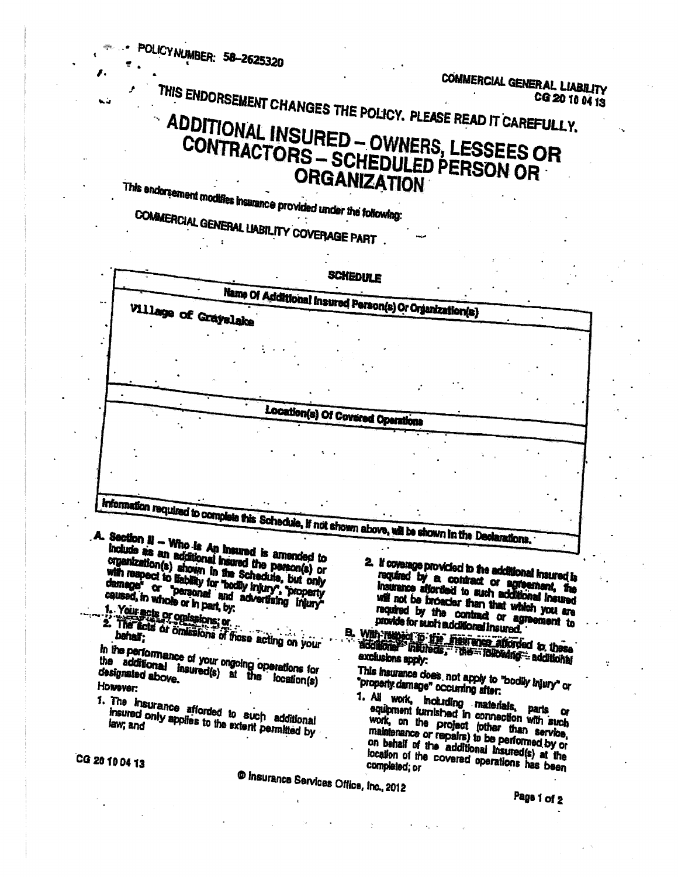OLICY NUMBER: 58-2625320 COMMERCIAL GENERAL LIABILITY THIS ENDORSEMENT CHANGES THE POLICY. PLEASE READ IT CAREFULLY. CG 20 10 04 13 ADDITIONAL INSURED - OWNERS, LESSEES OR CONTRACTORS - SCHEDULED PERSON OR **ORGANIZATION** This endorsement modifies insurance provided under the following: COMMERCIAL GENERAL LIABILITY COVERAGE PART. SCHEDULE Name Of Additional Insured Person(s) Or Organization(s) Village of Grayslake Location(s) Of Covered Operations Information required to complete this Schedule, if not shown above, will be shown in the Declarations. A. Section  $\mathbf{u}$  - Who is An insured is amended to include as an additional insured the person(s) or organization(s) shown in the Schedule, but only 2. If coverage provided to the additional insured is with respect to trability for "bodly injury", "property required by a contract or agreement, the damage" or "personal and advertising injury" will not be broader than that which you are 1. Your acts of omissions; or required by the contract or agreement to 2. The acts of omissions of flose acting on your provide for such additional insured. B. With Helped To the Field attorded to these in the performance of your orgoing operations for the additional insured(s) at the location(s) This insurance does, not apply to "bodly injury" or designated above. "properly damage" occurring after: However: 1. All work, including materials, parts or 1. The insurance afforded to such additional equipment furnished in connection with such insured only applies to the extent permitted by work, on the project (other than service, on behalf of the additional insured(s) at the location of the covered operations has been CG 20 10 04 13 **C** Insurance Services Office, Inc., 2012 Page 1 of 2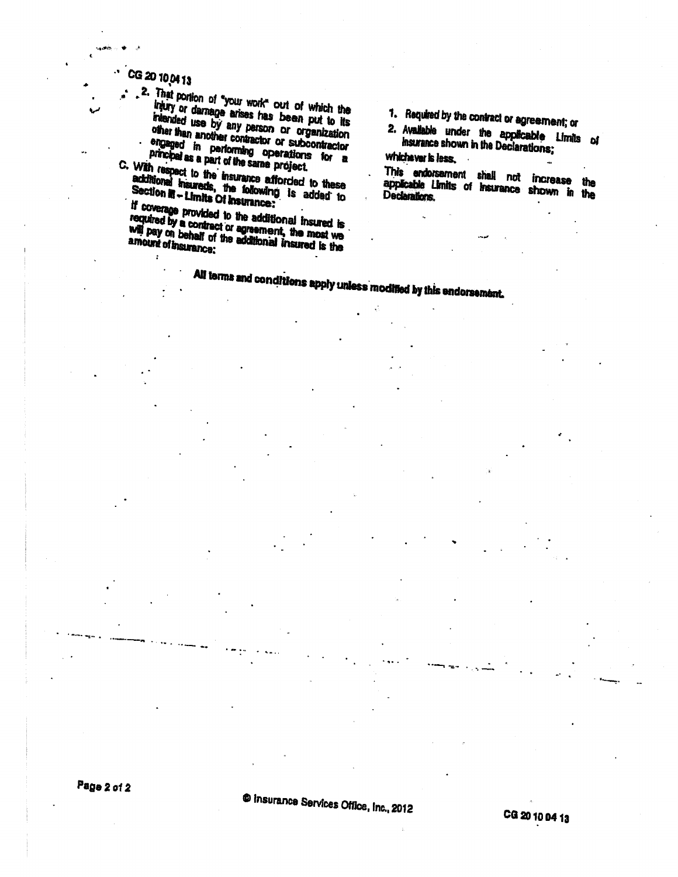CG 20 10 04 13

 $\ddot{\phantom{0}}$ 

.2. That portion of "your work" out of which the injury or damage arises has been put to its intended use by any person or organization other than another contractor or subcontractor engaged in performing operations for a principal as a part of the same project.

C. With respect to the insurance afforded to these **VILIT (Sapect to the sisteners changed in the following is added to**<br>Section in - Limits Of Insurance:

if coverage provided to the additional insured is required by a contract or agreement, the most we will pay on behalf of the additional insured is the

1. Required by the contract or agreement; or

2. Available under the applicable Limits of Insurance shown in the Declarations; whichever is less.

This endorsement shall not increase the applicable Limits of Insurance shown in the Declarations,

All terms and conditions apply unless modified by this endorsement.